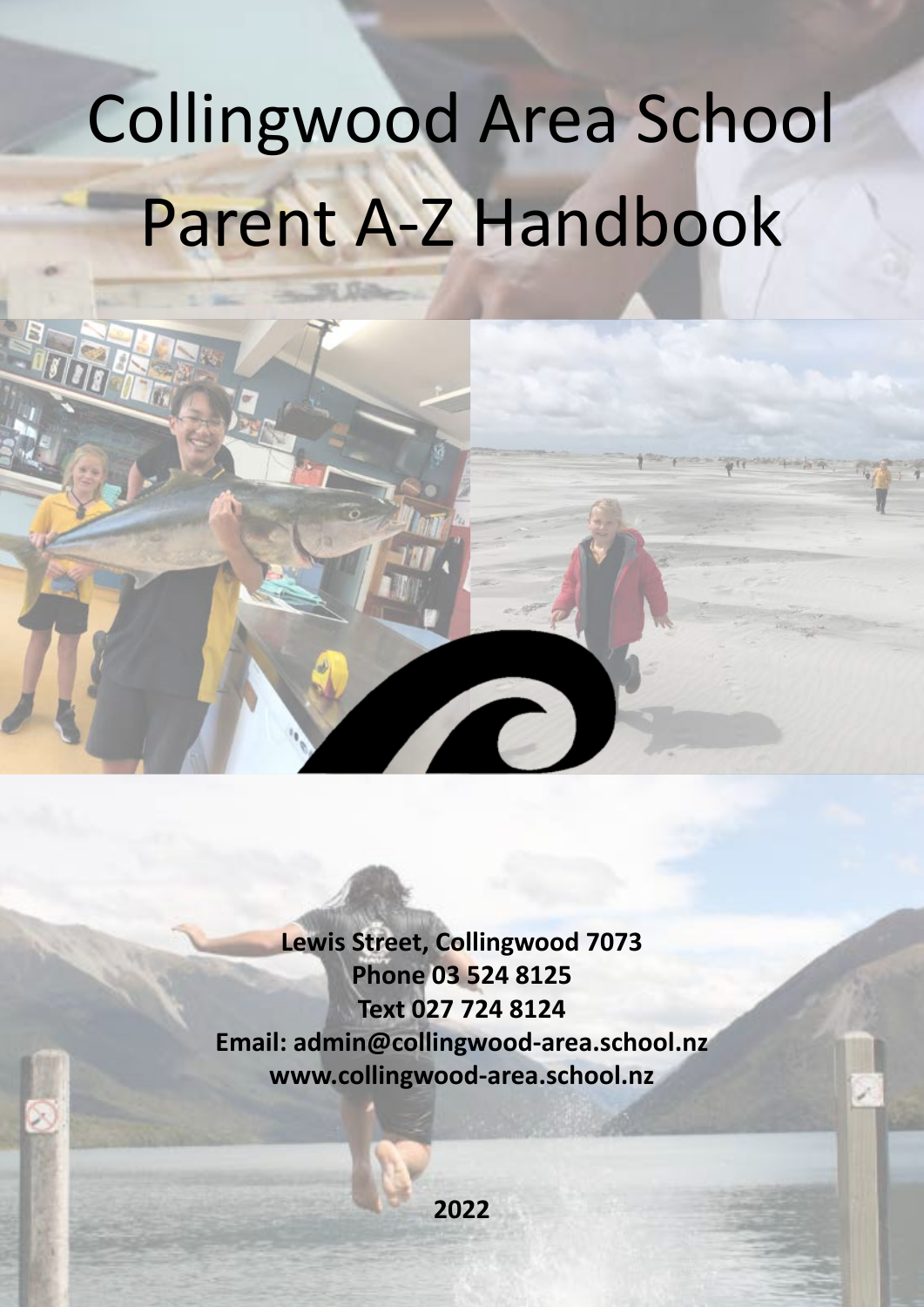# Collingwood Area School Parent A-Z Handbook

**Lewis Street, Collingwood 7073 Phone 03 524 8125 Text 027 724 8124 Email: admin@collingwood-area.school.nz www.collingwood-area.school.nz**

T

**2022**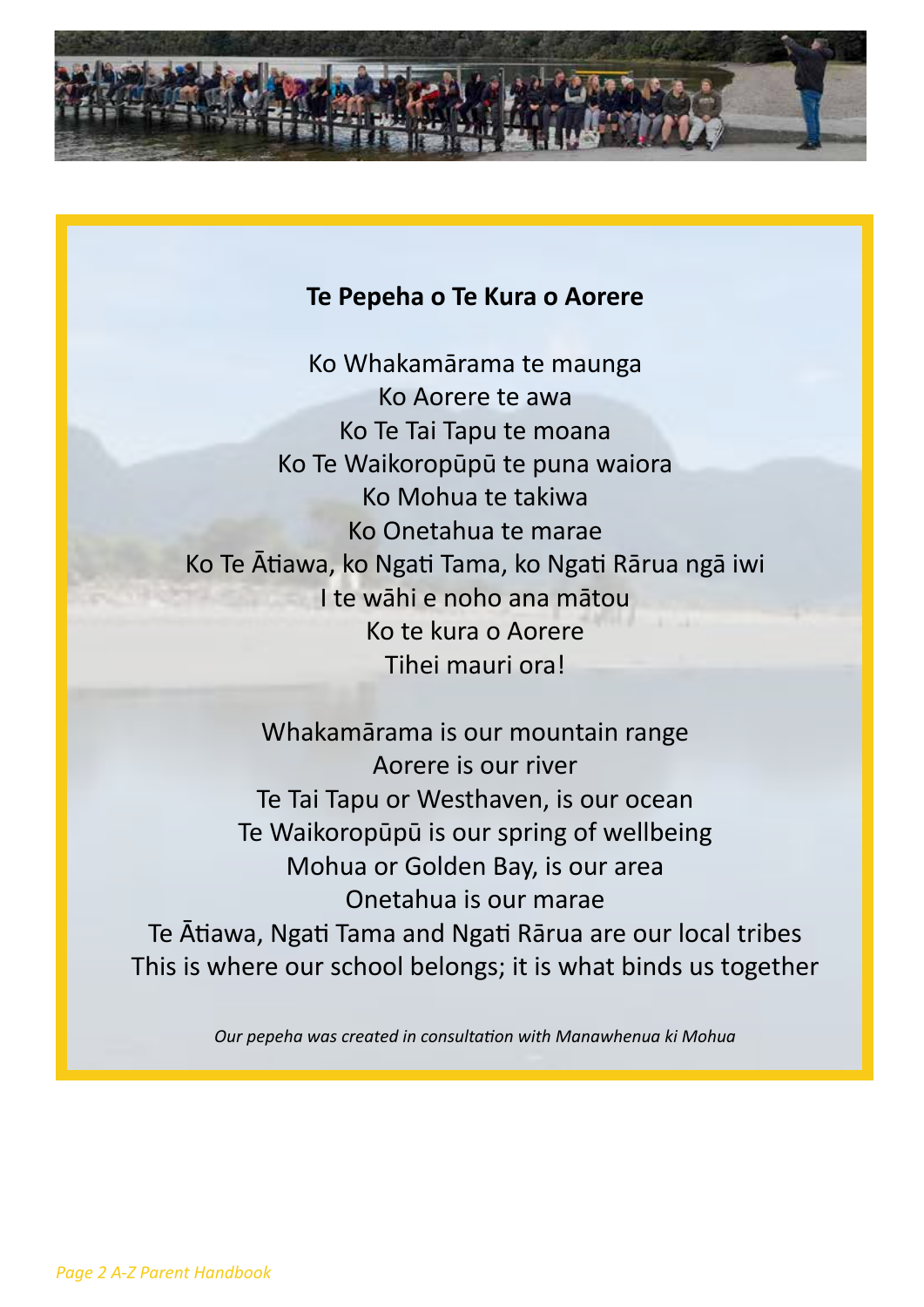

#### **Te Pepeha o Te Kura o Aorere**

Ko Whakamārama te maunga Ko Aorere te awa Ko Te Tai Tapu te moana Ko Te Waikoropūpū te puna waiora Ko Mohua te takiwa Ko Onetahua te marae Ko Te Ātiawa, ko Ngati Tama, ko Ngati Rārua ngā iwi I te wāhi e noho ana mātou Ko te kura o Aorere Tihei mauri ora!

Whakamārama is our mountain range Aorere is our river Te Tai Tapu or Westhaven, is our ocean Te Waikoropūpū is our spring of wellbeing Mohua or Golden Bay, is our area Onetahua is our marae Te Ātiawa, Ngati Tama and Ngati Rārua are our local tribes This is where our school belongs; it is what binds us together

*Our pepeha was created in consultation with Manawhenua ki Mohua*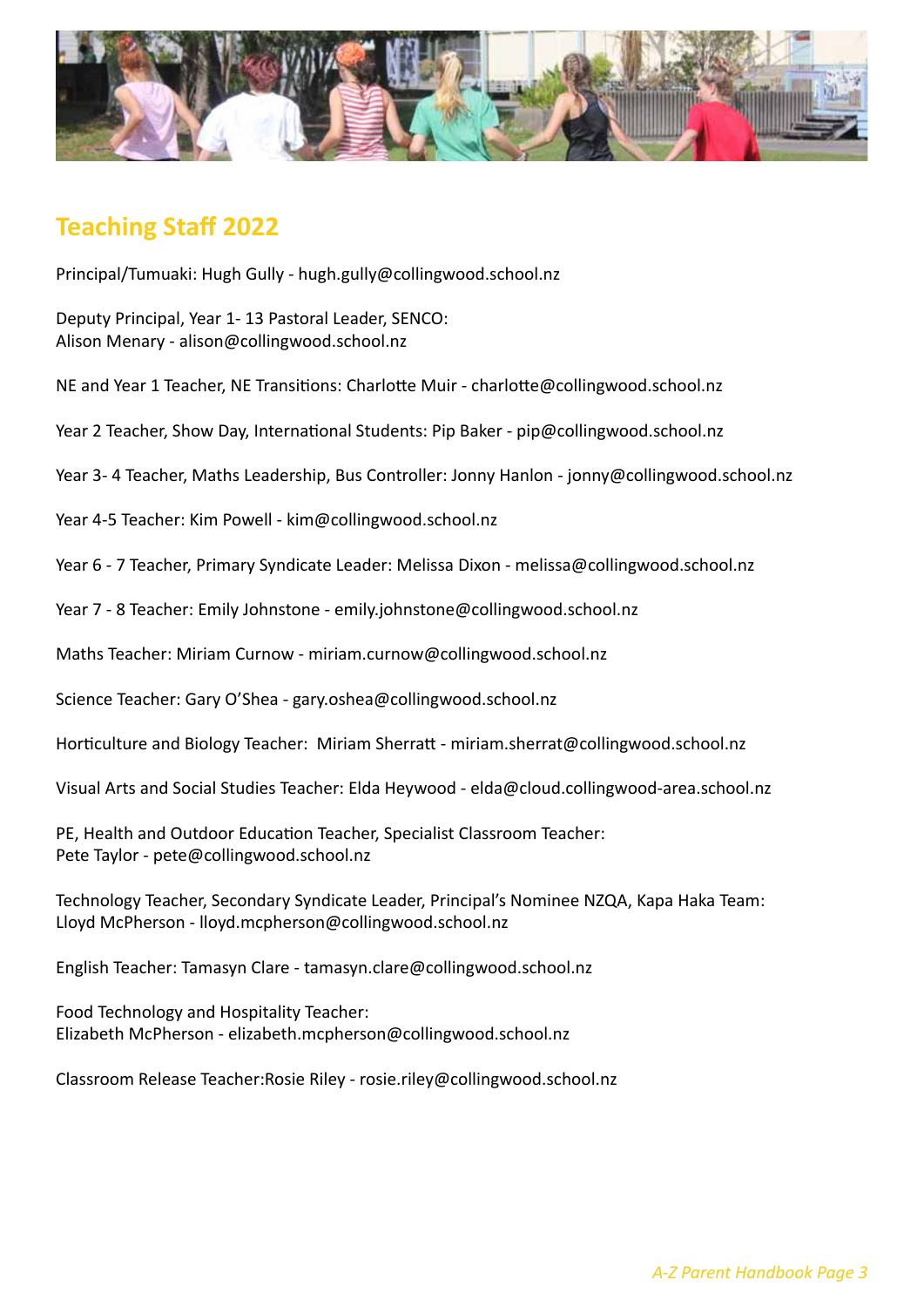

# **Teaching Staff 2022**

Principal/Tumuaki: Hugh Gully - hugh.gully@collingwood.school.nz

Deputy Principal, Year 1- 13 Pastoral Leader, SENCO: Alison Menary - alison@collingwood.school.nz

NE and Year 1 Teacher, NE Transitions: Charlotte Muir - charlotte@collingwood.school.nz

Year 2 Teacher, Show Day, International Students: Pip Baker - pip@collingwood.school.nz

Year 3- 4 Teacher, Maths Leadership, Bus Controller: Jonny Hanlon - jonny@collingwood.school.nz

Year 4-5 Teacher: Kim Powell - kim@collingwood.school.nz

Year 6 - 7 Teacher, Primary Syndicate Leader: Melissa Dixon - melissa@collingwood.school.nz

Year 7 - 8 Teacher: Emily Johnstone - emily.johnstone@collingwood.school.nz

Maths Teacher: Miriam Curnow - miriam.curnow@collingwood.school.nz

Science Teacher: Gary O'Shea - gary.oshea@collingwood.school.nz

Horticulture and Biology Teacher: Miriam Sherratt - miriam.sherrat@collingwood.school.nz

Visual Arts and Social Studies Teacher: Elda Heywood - elda@cloud.collingwood-area.school.nz

PE, Health and Outdoor Education Teacher, Specialist Classroom Teacher: Pete Taylor - pete@collingwood.school.nz

Technology Teacher, Secondary Syndicate Leader, Principal's Nominee NZQA, Kapa Haka Team: Lloyd McPherson - lloyd.mcpherson@collingwood.school.nz

English Teacher: Tamasyn Clare - tamasyn.clare@collingwood.school.nz

Food Technology and Hospitality Teacher: Elizabeth McPherson - elizabeth.mcpherson@collingwood.school.nz

Classroom Release Teacher:Rosie Riley - rosie.riley@collingwood.school.nz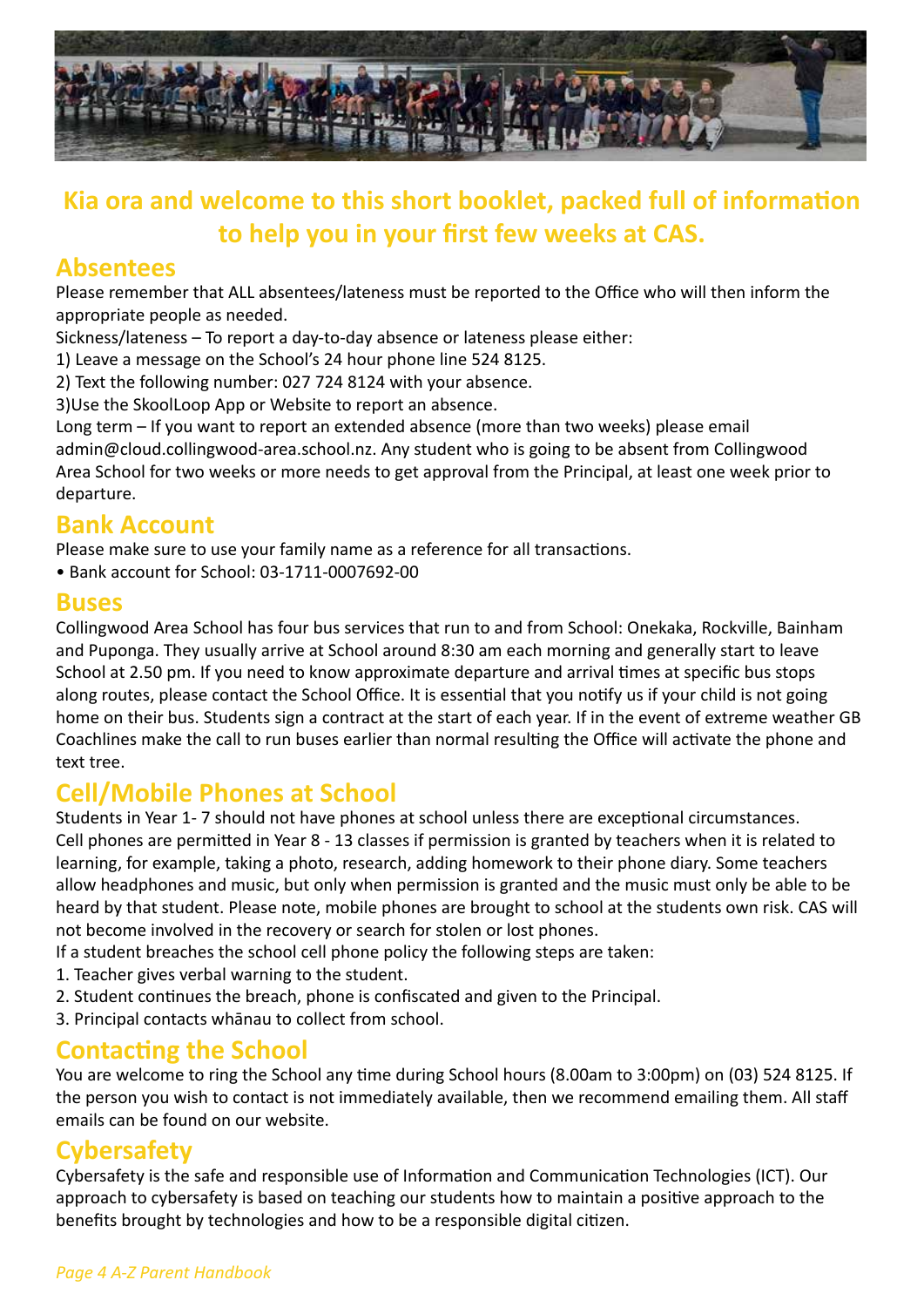

# **Kia ora and welcome to this short booklet, packed full of information to help you in your first few weeks at CAS.**

## **Absentees**

Please remember that ALL absentees/lateness must be reported to the Office who will then inform the appropriate people as needed.

Sickness/lateness – To report a day-to-day absence or lateness please either:

1) Leave a message on the School's 24 hour phone line 524 8125.

2) Text the following number: 027 724 8124 with your absence.

3)Use the SkoolLoop App or Website to report an absence.

Long term – If you want to report an extended absence (more than two weeks) please email admin@cloud.collingwood-area.school.nz. Any student who is going to be absent from Collingwood Area School for two weeks or more needs to get approval from the Principal, at least one week prior to departure.

## **Bank Account**

Please make sure to use your family name as a reference for all transactions.

• Bank account for School: 03-1711-0007692-00

#### **Buses**

Collingwood Area School has four bus services that run to and from School: Onekaka, Rockville, Bainham and Puponga. They usually arrive at School around 8:30 am each morning and generally start to leave School at 2.50 pm. If you need to know approximate departure and arrival times at specific bus stops along routes, please contact the School Office. It is essential that you notify us if your child is not going home on their bus. Students sign a contract at the start of each year. If in the event of extreme weather GB Coachlines make the call to run buses earlier than normal resulting the Office will activate the phone and text tree.

## **Cell/Mobile Phones at School**

Students in Year 1- 7 should not have phones at school unless there are exceptional circumstances. Cell phones are permitted in Year 8 - 13 classes if permission is granted by teachers when it is related to learning, for example, taking a photo, research, adding homework to their phone diary. Some teachers allow headphones and music, but only when permission is granted and the music must only be able to be heard by that student. Please note, mobile phones are brought to school at the students own risk. CAS will not become involved in the recovery or search for stolen or lost phones.

- If a student breaches the school cell phone policy the following steps are taken:
- 1. Teacher gives verbal warning to the student.
- 2. Student continues the breach, phone is confiscated and given to the Principal.
- 3. Principal contacts whānau to collect from school.

## **Contacting the School**

You are welcome to ring the School any time during School hours (8.00am to 3:00pm) on (03) 524 8125. If the person you wish to contact is not immediately available, then we recommend emailing them. All staff emails can be found on our website.

## **Cybersafety**

Cybersafety is the safe and responsible use of Information and Communication Technologies (ICT). Our approach to cybersafety is based on teaching our students how to maintain a positive approach to the benefits brought by technologies and how to be a responsible digital citizen.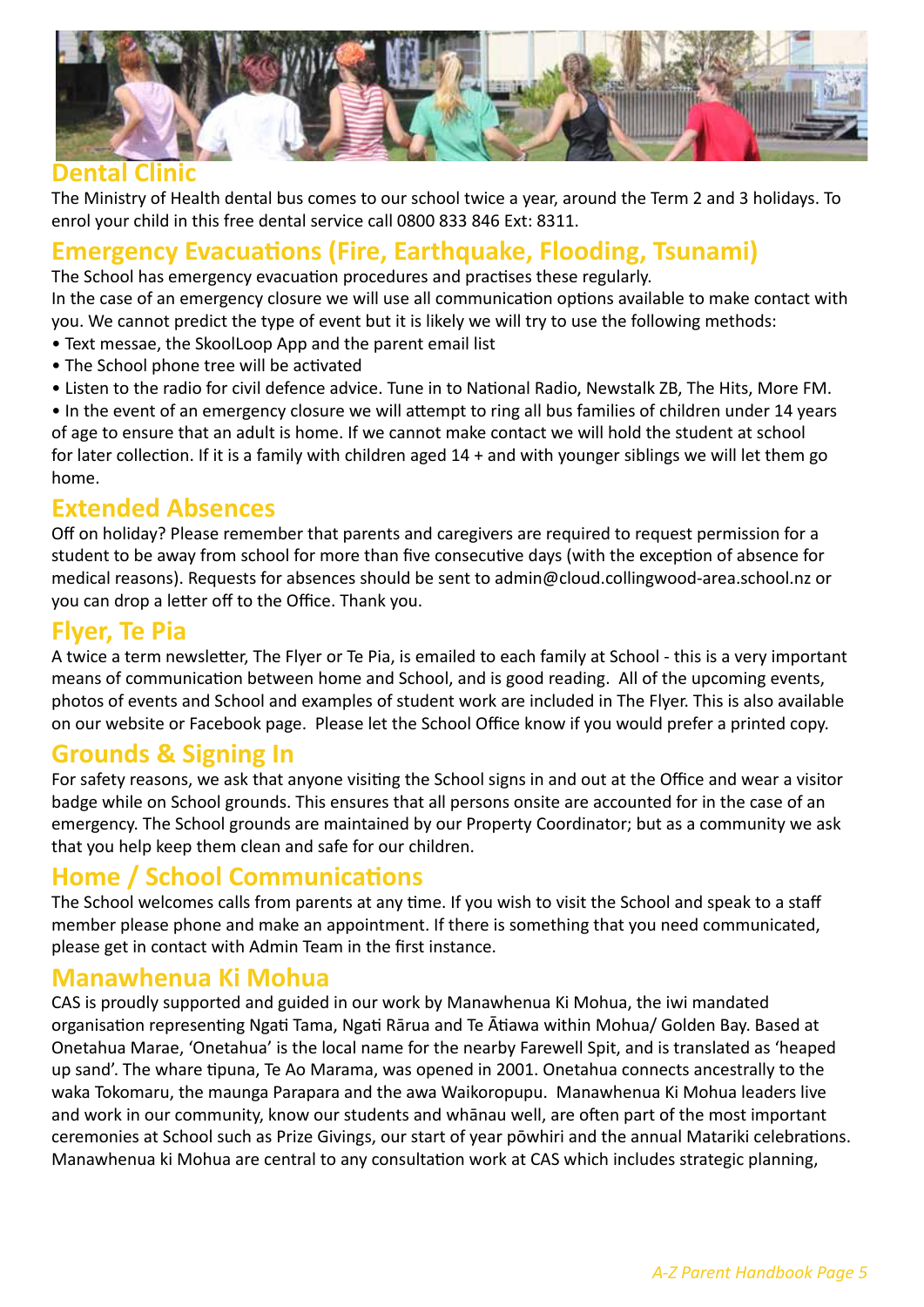

## **Dental Clinic**

The Ministry of Health dental bus comes to our school twice a year, around the Term 2 and 3 holidays. To enrol your child in this free dental service call 0800 833 846 Ext: 8311.

# **Emergency Evacuations (Fire, Earthquake, Flooding, Tsunami)**

The School has emergency evacuation procedures and practises these regularly.

In the case of an emergency closure we will use all communication options available to make contact with you. We cannot predict the type of event but it is likely we will try to use the following methods:

- Text messae, the SkoolLoop App and the parent email list
- The School phone tree will be activated
- Listen to the radio for civil defence advice. Tune in to National Radio, Newstalk ZB, The Hits, More FM.

• In the event of an emergency closure we will attempt to ring all bus families of children under 14 years of age to ensure that an adult is home. If we cannot make contact we will hold the student at school for later collection. If it is a family with children aged 14 + and with younger siblings we will let them go home.

#### **Extended Absences**

Off on holiday? Please remember that parents and caregivers are required to request permission for a student to be away from school for more than five consecutive days (with the exception of absence for medical reasons). Requests for absences should be sent to admin@cloud.collingwood-area.school.nz or you can drop a letter off to the Office. Thank you.

## **Flyer, Te Pia**

A twice a term newsletter, The Flyer or Te Pia, is emailed to each family at School - this is a very important means of communication between home and School, and is good reading. All of the upcoming events, photos of events and School and examples of student work are included in The Flyer. This is also available on our website or Facebook page. Please let the School Office know if you would prefer a printed copy.

#### **Grounds & Signing In**

For safety reasons, we ask that anyone visiting the School signs in and out at the Office and wear a visitor badge while on School grounds. This ensures that all persons onsite are accounted for in the case of an emergency. The School grounds are maintained by our Property Coordinator; but as a community we ask that you help keep them clean and safe for our children.

## **Home / School Communications**

The School welcomes calls from parents at any time. If you wish to visit the School and speak to a staff member please phone and make an appointment. If there is something that you need communicated, please get in contact with Admin Team in the first instance.

## **Manawhenua Ki Mohua**

CAS is proudly supported and guided in our work by Manawhenua Ki Mohua, the iwi mandated organisation representing Ngati Tama, Ngati Rārua and Te Ātiawa within Mohua/ Golden Bay. Based at Onetahua Marae, 'Onetahua' is the local name for the nearby Farewell Spit, and is translated as 'heaped up sand'. The whare tipuna, Te Ao Marama, was opened in 2001. Onetahua connects ancestrally to the waka Tokomaru, the maunga Parapara and the awa Waikoropupu. Manawhenua Ki Mohua leaders live and work in our community, know our students and whānau well, are often part of the most important ceremonies at School such as Prize Givings, our start of year pōwhiri and the annual Matariki celebrations. Manawhenua ki Mohua are central to any consultation work at CAS which includes strategic planning,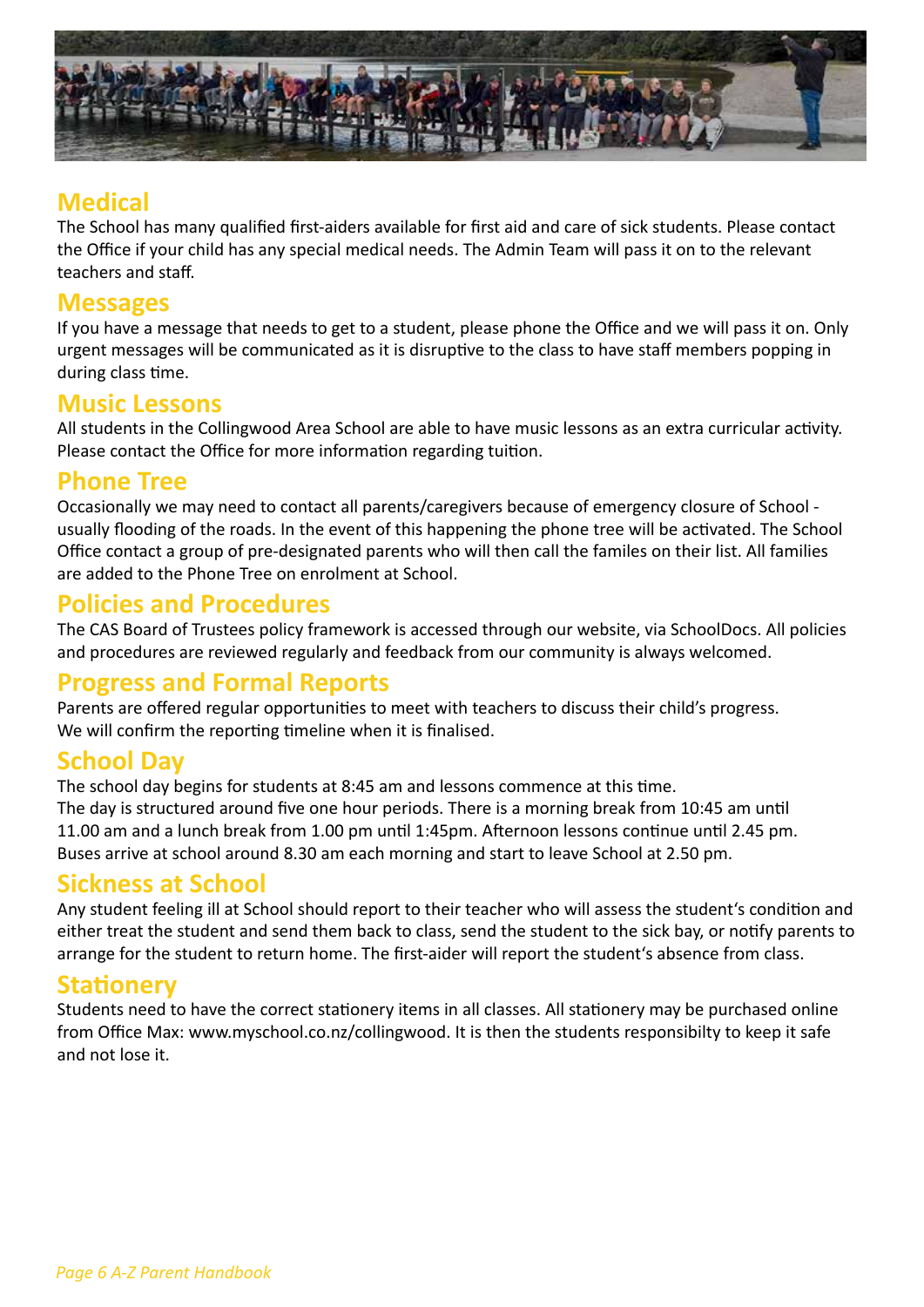

## **Medical**

The School has many qualified first-aiders available for first aid and care of sick students. Please contact the Office if your child has any special medical needs. The Admin Team will pass it on to the relevant teachers and staff.

#### **Messages**

If you have a message that needs to get to a student, please phone the Office and we will pass it on. Only urgent messages will be communicated as it is disruptive to the class to have staff members popping in during class time.

#### **Music Lessons**

All students in the Collingwood Area School are able to have music lessons as an extra curricular activity. Please contact the Office for more information regarding tuition.

#### **Phone Tree**

Occasionally we may need to contact all parents/caregivers because of emergency closure of School usually flooding of the roads. In the event of this happening the phone tree will be activated. The School Office contact a group of pre-designated parents who will then call the familes on their list. All families are added to the Phone Tree on enrolment at School.

## **Policies and Procedures**

The CAS Board of Trustees policy framework is accessed through our website, via SchoolDocs. All policies and procedures are reviewed regularly and feedback from our community is always welcomed.

## **Progress and Formal Reports**

Parents are offered regular opportunities to meet with teachers to discuss their child's progress. We will confirm the reporting timeline when it is finalised.

## **School Day**

The school day begins for students at 8:45 am and lessons commence at this time. The day is structured around five one hour periods. There is a morning break from 10:45 am until 11.00 am and a lunch break from 1.00 pm until 1:45pm. Afternoon lessons continue until 2.45 pm. Buses arrive at school around 8.30 am each morning and start to leave School at 2.50 pm.

## **Sickness at School**

Any student feeling ill at School should report to their teacher who will assess the student's condition and either treat the student and send them back to class, send the student to the sick bay, or notify parents to arrange for the student to return home. The first-aider will report the student's absence from class.

## **Stationery**

Students need to have the correct stationery items in all classes. All stationery may be purchased online from Office Max: www.myschool.co.nz/collingwood. It is then the students responsibilty to keep it safe and not lose it.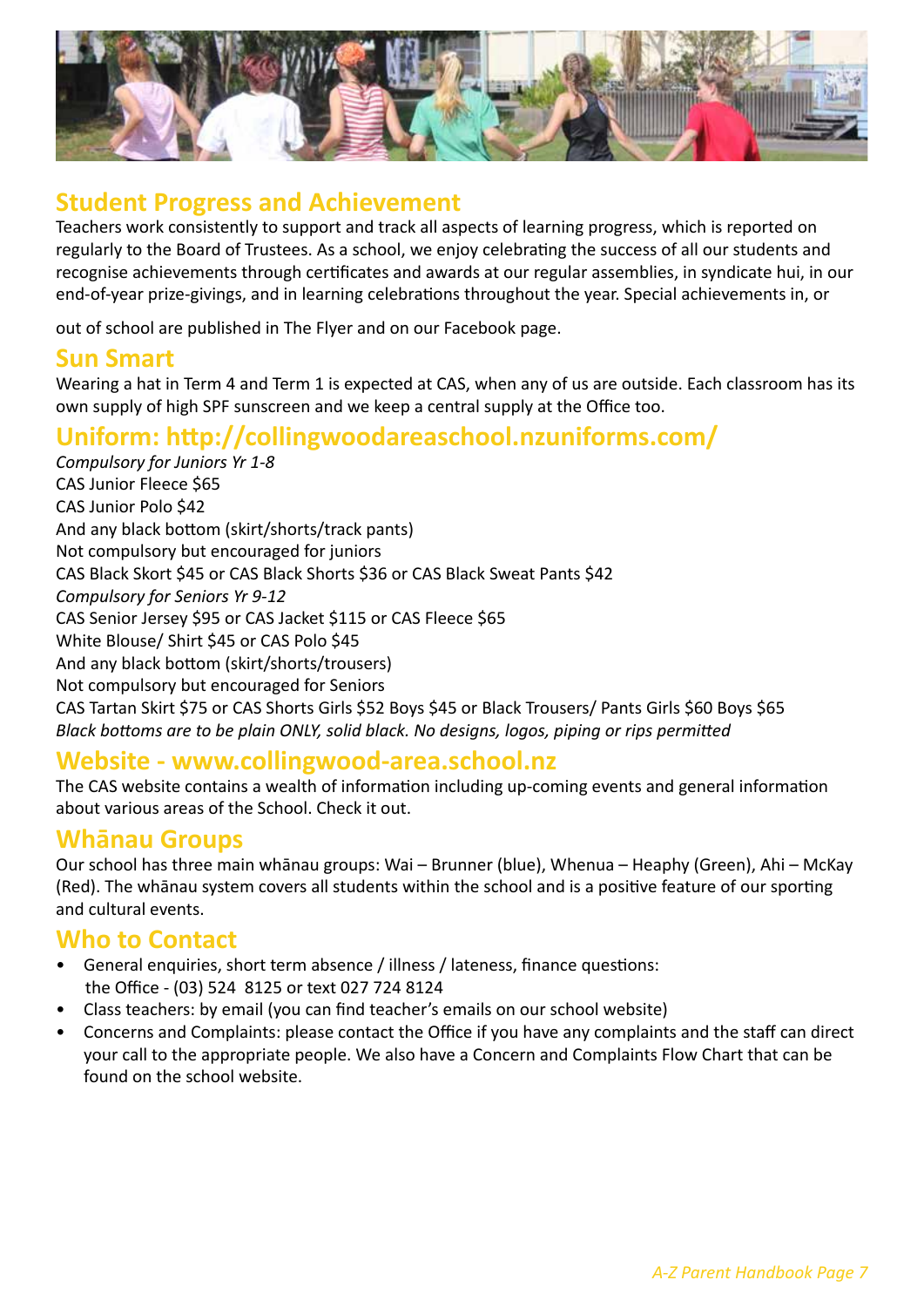

## **Student Progress and Achievement**

Teachers work consistently to support and track all aspects of learning progress, which is reported on regularly to the Board of Trustees. As a school, we enjoy celebrating the success of all our students and recognise achievements through certificates and awards at our regular assemblies, in syndicate hui, in our end-of-year prize-givings, and in learning celebrations throughout the year. Special achievements in, or

out of school are published in The Flyer and on our Facebook page.

#### **Sun Smart**

Wearing a hat in Term 4 and Term 1 is expected at CAS, when any of us are outside. Each classroom has its own supply of high SPF sunscreen and we keep a central supply at the Office too.

## **Uniform: http://collingwoodareaschool.nzuniforms.com/**

*Compulsory for Juniors Yr 1-8* CAS Junior Fleece \$65 CAS Junior Polo \$42 And any black bottom (skirt/shorts/track pants) Not compulsory but encouraged for juniors CAS Black Skort \$45 or CAS Black Shorts \$36 or CAS Black Sweat Pants \$42 *Compulsory for Seniors Yr 9-12* CAS Senior Jersey \$95 or CAS Jacket \$115 or CAS Fleece \$65 White Blouse/ Shirt \$45 or CAS Polo \$45 And any black bottom (skirt/shorts/trousers) Not compulsory but encouraged for Seniors CAS Tartan Skirt \$75 or CAS Shorts Girls \$52 Boys \$45 or Black Trousers/ Pants Girls \$60 Boys \$65 *Black bottoms are to be plain ONLY, solid black. No designs, logos, piping or rips permitted*

## **Website - www.collingwood-area.school.nz**

The CAS website contains a wealth of information including up-coming events and general information about various areas of the School. Check it out.

#### **Whānau Groups**

Our school has three main whānau groups: Wai – Brunner (blue), Whenua – Heaphy (Green), Ahi – McKay (Red). The whānau system covers all students within the school and is a positive feature of our sporting and cultural events.

## **Who to Contact**

- General enquiries, short term absence / illness / lateness, finance questions: the Office - (03) 524 8125 or text 027 724 8124
- Class teachers: by email (you can find teacher's emails on our school website)
- Concerns and Complaints: please contact the Office if you have any complaints and the staff can direct your call to the appropriate people. We also have a Concern and Complaints Flow Chart that can be found on the school website.